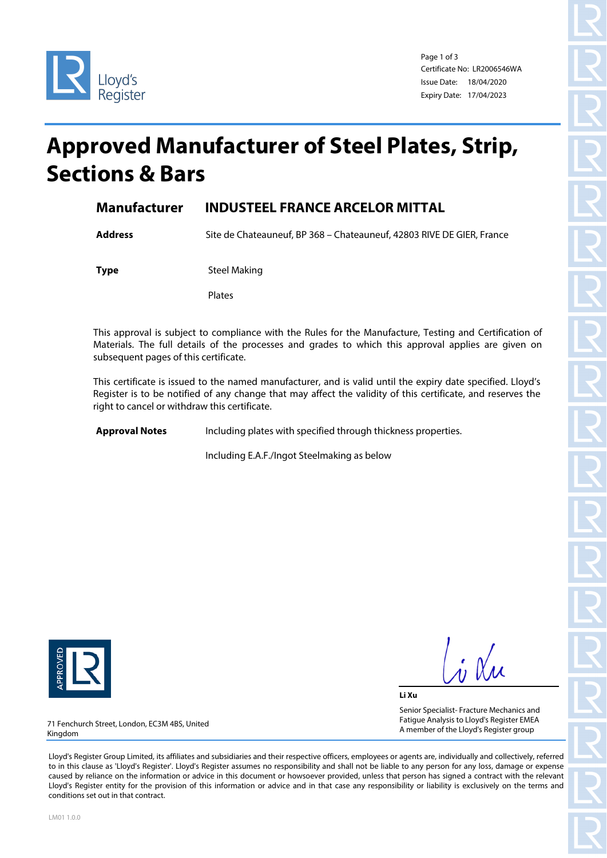

Page 1 of 3 Certificate No: LR2006546WA Issue Date: 18/04/2020 Expiry Date: 17/04/2023

## **Approved Manufacturer of Steel Plates, Strip, Sections & Bars**

## **Manufacturer INDUSTEEL FRANCE ARCELOR MITTAL**

**Address** Site de Chateauneuf, BP 368 – Chateauneuf, 42803 RIVE DE GIER, France

**Type** Steel Making

Plates

This approval is subject to compliance with the Rules for the Manufacture, Testing and Certification of Materials. The full details of the processes and grades to which this approval applies are given on subsequent pages of this certificate.

This certificate is issued to the named manufacturer, and is valid until the expiry date specified. Lloyd's Register is to be notified of any change that may affect the validity of this certificate, and reserves the right to cancel or withdraw this certificate.

**Approval Notes** Including plates with specified through thickness properties.

Including E.A.F./Ingot Steelmaking as below



 $\frac{1}{\sqrt{2}}$ 

**Li Xu** Senior Specialist- Fracture Mechanics and Fatigue Analysis to Lloyd's Register EMEA A member of the Lloyd's Register group

71 Fenchurch Street, London, EC3M 4BS, United Kingdom

Lloyd's Register Group Limited, its affiliates and subsidiaries and their respective officers, employees or agents are, individually and collectively, referred to in this clause as 'Lloyd's Register'. Lloyd's Register assumes no responsibility and shall not be liable to any person for any loss, damage or expense caused by reliance on the information or advice in this document or howsoever provided, unless that person has signed a contract with the relevant Lloyd's Register entity for the provision of this information or advice and in that case any responsibility or liability is exclusively on the terms and conditions set out in that contract.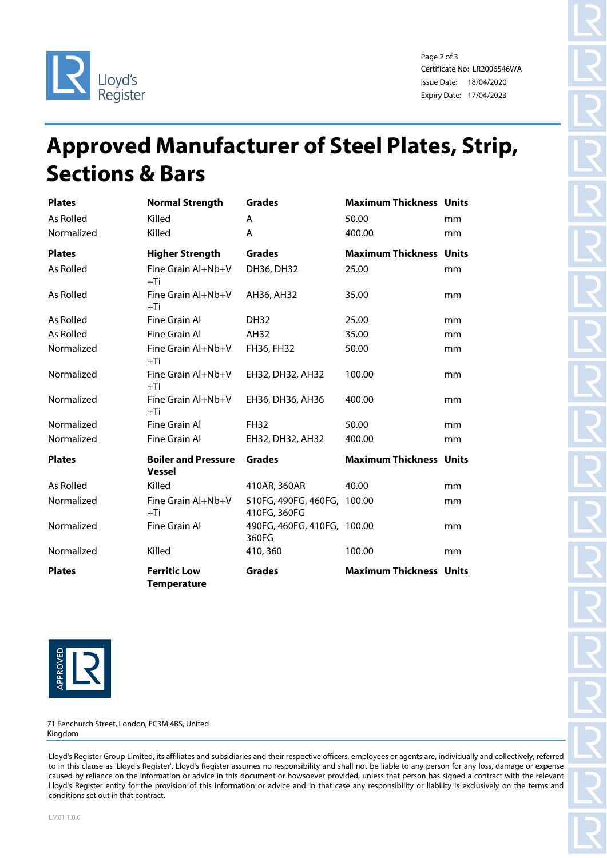

Page 2 of 3 Certificate No: LR2006546WA Issue Date: 18/04/2020 Expiry Date: 17/04/2023

## **Approved Manufacturer of Steel Plates, Strip, Sections & Bars**

| <b>Plates</b> | <b>Normal Strength</b>                      | <b>Grades</b>                               | <b>Maximum Thickness Units</b> |    |
|---------------|---------------------------------------------|---------------------------------------------|--------------------------------|----|
| As Rolled     | Killed                                      | A                                           | 50.00                          | mm |
| Normalized    | Killed                                      | A                                           | 400.00                         | mm |
| <b>Plates</b> | <b>Higher Strength</b>                      | <b>Grades</b>                               | <b>Maximum Thickness Units</b> |    |
| As Rolled     | Fine Grain Al+Nb+V<br>$+Ti$                 | DH36, DH32                                  | 25.00                          | mm |
| As Rolled     | Fine Grain Al+Nb+V<br>$+Ti$                 | AH36, AH32                                  | 35.00                          | mm |
| As Rolled     | Fine Grain Al                               | <b>DH32</b>                                 | 25.00                          | mm |
| As Rolled     | Fine Grain Al                               | AH32                                        | 35.00                          | mm |
| Normalized    | Fine Grain Al+Nb+V<br>$+Ti$                 | FH36, FH32                                  | 50.00                          | mm |
| Normalized    | Fine Grain Al+Nb+V<br>$+Ti$                 | EH32, DH32, AH32                            | 100.00                         | mm |
| Normalized    | Fine Grain Al+Nb+V<br>$+Ti$                 | EH36, DH36, AH36                            | 400.00                         | mm |
| Normalized    | Fine Grain Al                               | <b>FH32</b>                                 | 50.00                          | mm |
| Normalized    | Fine Grain Al                               | EH32, DH32, AH32                            | 400.00                         | mm |
| <b>Plates</b> | <b>Boiler and Pressure</b><br><b>Vessel</b> | <b>Grades</b>                               | <b>Maximum Thickness Units</b> |    |
| As Rolled     | Killed                                      | 410AR, 360AR                                | 40.00                          | mm |
| Normalized    | Fine Grain Al+Nb+V<br>$+Ti$                 | 510FG, 490FG, 460FG, 100.00<br>410FG, 360FG |                                | mm |
| Normalized    | Fine Grain Al                               | 490FG, 460FG, 410FG, 100.00<br>360FG        |                                | mm |
| Normalized    | Killed                                      | 410, 360                                    | 100.00                         | mm |
| <b>Plates</b> | <b>Ferritic Low</b><br><b>Temperature</b>   | <b>Grades</b>                               | <b>Maximum Thickness Units</b> |    |



71 Fenchurch Street, London, EC3M 4BS, United Kingdom

Lloyd's Register Group Limited, its affiliates and subsidiaries and their respective officers, employees or agents are, individually and collectively, referred to in this clause as 'Lloyd's Register'. Lloyd's Register assumes no responsibility and shall not be liable to any person for any loss, damage or expense caused by reliance on the information or advice in this document or howsoever provided, unless that person has signed a contract with the relevant Lloyd's Register entity for the provision of this information or advice and in that case any responsibility or liability is exclusively on the terms and conditions set out in that contract.